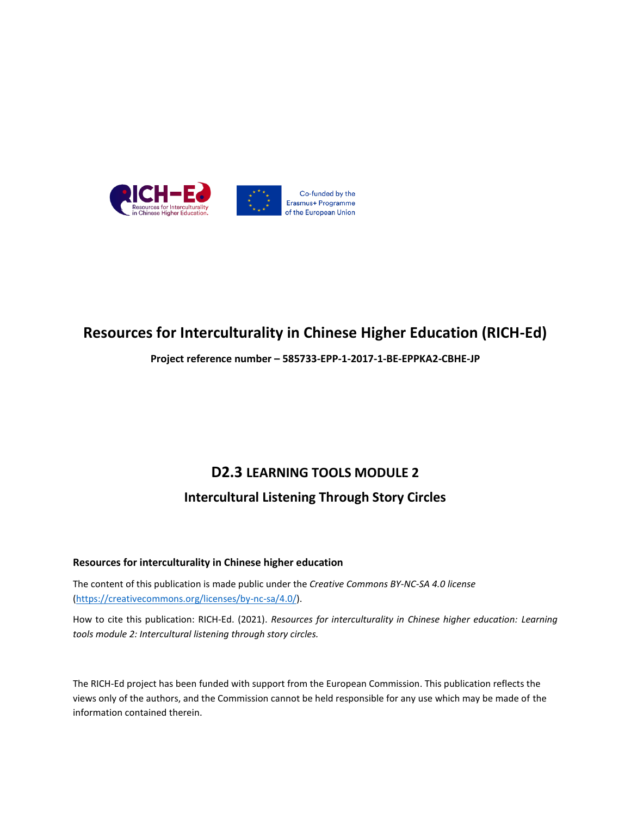

## **Resources for Interculturality in Chinese Higher Education (RICH-Ed)**

**Project reference number – 585733-EPP-1-2017-1-BE-EPPKA2-CBHE-JP**

# **D2.3 LEARNING TOOLS MODULE 2 Intercultural Listening Through Story Circles**

#### **Resources for interculturality in Chinese higher education**

The content of this publication is made public under the *Creative Commons BY-NC-SA 4.0 license* [\(https://creativecommons.org/licenses/by-nc-sa/4.0/\)](https://creativecommons.org/licenses/by-nc-sa/4.0/).

How to cite this publication: RICH-Ed. (2021). *Resources for interculturality in Chinese higher education: Learning tools module 2: Intercultural listening through story circles.*

The RICH-Ed project has been funded with support from the European Commission. This publication reflects the views only of the authors, and the Commission cannot be held responsible for any use which may be made of the information contained therein.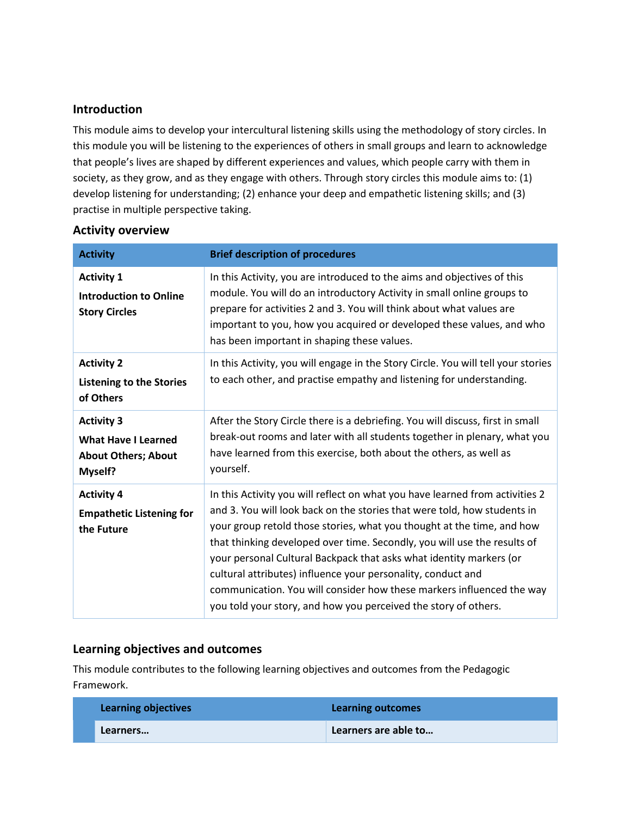#### **Introduction**

This module aims to develop your intercultural listening skills using the methodology of story circles. In this module you will be listening to the experiences of others in small groups and learn to acknowledge that people's lives are shaped by different experiences and values, which people carry with them in society, as they grow, and as they engage with others. Through story circles this module aims to: (1) develop listening for understanding; (2) enhance your deep and empathetic listening skills; and (3) practise in multiple perspective taking.

#### **Activity overview**

| <b>Activity</b>                                                                                 | <b>Brief description of procedures</b>                                                                                                                                                                                                                                                                                                                                                                                                                                                                                                                                                            |
|-------------------------------------------------------------------------------------------------|---------------------------------------------------------------------------------------------------------------------------------------------------------------------------------------------------------------------------------------------------------------------------------------------------------------------------------------------------------------------------------------------------------------------------------------------------------------------------------------------------------------------------------------------------------------------------------------------------|
| <b>Activity 1</b><br><b>Introduction to Online</b><br><b>Story Circles</b>                      | In this Activity, you are introduced to the aims and objectives of this<br>module. You will do an introductory Activity in small online groups to<br>prepare for activities 2 and 3. You will think about what values are<br>important to you, how you acquired or developed these values, and who<br>has been important in shaping these values.                                                                                                                                                                                                                                                 |
| <b>Activity 2</b><br><b>Listening to the Stories</b><br>of Others                               | In this Activity, you will engage in the Story Circle. You will tell your stories<br>to each other, and practise empathy and listening for understanding.                                                                                                                                                                                                                                                                                                                                                                                                                                         |
| <b>Activity 3</b><br><b>What Have I Learned</b><br><b>About Others; About</b><br><b>Myself?</b> | After the Story Circle there is a debriefing. You will discuss, first in small<br>break-out rooms and later with all students together in plenary, what you<br>have learned from this exercise, both about the others, as well as<br>yourself.                                                                                                                                                                                                                                                                                                                                                    |
| <b>Activity 4</b><br><b>Empathetic Listening for</b><br>the Future                              | In this Activity you will reflect on what you have learned from activities 2<br>and 3. You will look back on the stories that were told, how students in<br>your group retold those stories, what you thought at the time, and how<br>that thinking developed over time. Secondly, you will use the results of<br>your personal Cultural Backpack that asks what identity markers (or<br>cultural attributes) influence your personality, conduct and<br>communication. You will consider how these markers influenced the way<br>you told your story, and how you perceived the story of others. |

#### **Learning objectives and outcomes**

This module contributes to the following learning objectives and outcomes from the Pedagogic Framework.

| <b>Learning objectives</b> | Learning outcomes    |
|----------------------------|----------------------|
| Learners                   | Learners are able to |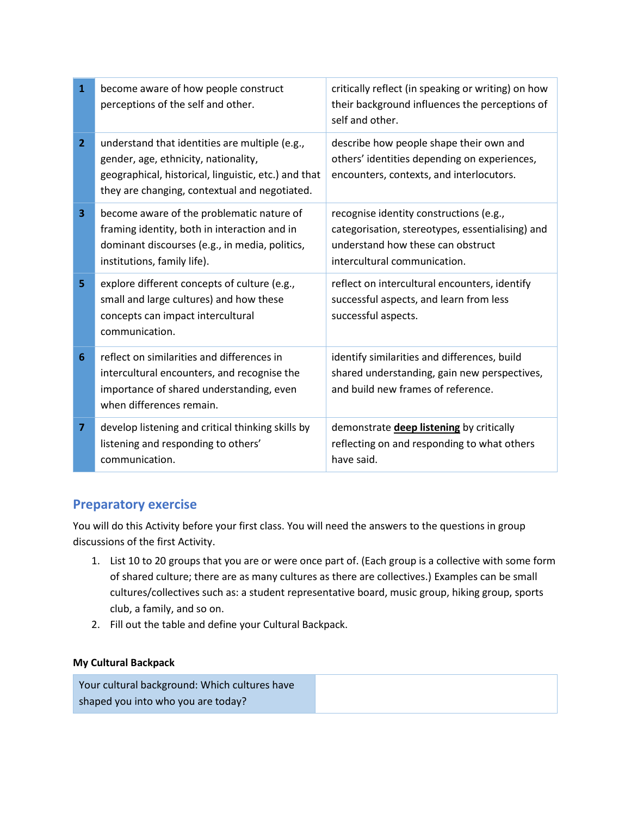| $\mathbf{1}$   | become aware of how people construct<br>perceptions of the self and other.                                                                                                                      | critically reflect (in speaking or writing) on how<br>their background influences the perceptions of<br>self and other.                                          |
|----------------|-------------------------------------------------------------------------------------------------------------------------------------------------------------------------------------------------|------------------------------------------------------------------------------------------------------------------------------------------------------------------|
| $\overline{2}$ | understand that identities are multiple (e.g.,<br>gender, age, ethnicity, nationality,<br>geographical, historical, linguistic, etc.) and that<br>they are changing, contextual and negotiated. | describe how people shape their own and<br>others' identities depending on experiences,<br>encounters, contexts, and interlocutors.                              |
| 3              | become aware of the problematic nature of<br>framing identity, both in interaction and in<br>dominant discourses (e.g., in media, politics,<br>institutions, family life).                      | recognise identity constructions (e.g.,<br>categorisation, stereotypes, essentialising) and<br>understand how these can obstruct<br>intercultural communication. |
| 5              | explore different concepts of culture (e.g.,<br>small and large cultures) and how these<br>concepts can impact intercultural<br>communication.                                                  | reflect on intercultural encounters, identify<br>successful aspects, and learn from less<br>successful aspects.                                                  |
| 6              | reflect on similarities and differences in<br>intercultural encounters, and recognise the<br>importance of shared understanding, even<br>when differences remain.                               | identify similarities and differences, build<br>shared understanding, gain new perspectives,<br>and build new frames of reference.                               |
| $\overline{7}$ | develop listening and critical thinking skills by<br>listening and responding to others'<br>communication.                                                                                      | demonstrate <b>deep listening</b> by critically<br>reflecting on and responding to what others<br>have said.                                                     |

### **Preparatory exercise**

You will do this Activity before your first class. You will need the answers to the questions in group discussions of the first Activity.

- 1. List 10 to 20 groups that you are or were once part of. (Each group is a collective with some form of shared culture; there are as many cultures as there are collectives.) Examples can be small cultures/collectives such as: a student representative board, music group, hiking group, sports club, a family, and so on.
- 2. Fill out the table and define your Cultural Backpack.

#### **My Cultural Backpack**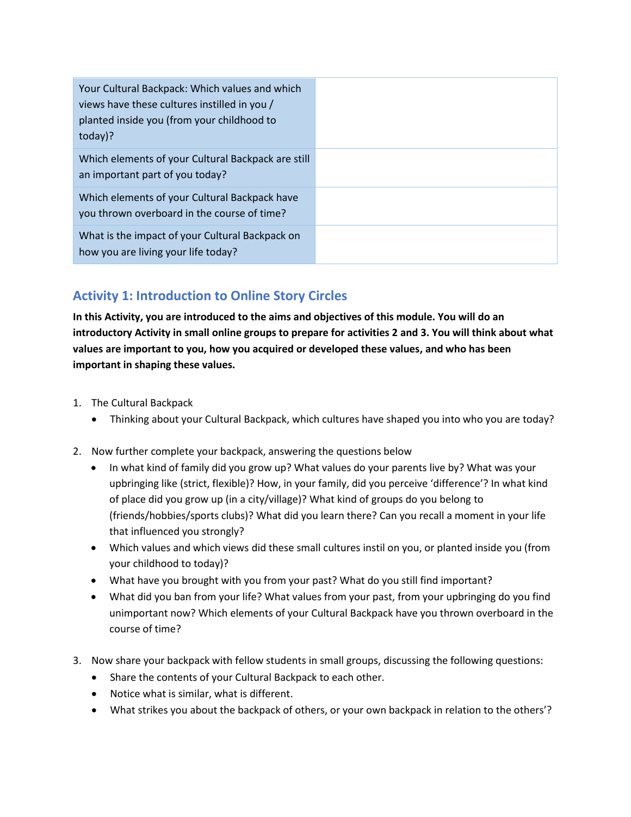| Your Cultural Backpack: Which values and which<br>views have these cultures instilled in you /<br>planted inside you (from your childhood to<br>today)? |  |
|---------------------------------------------------------------------------------------------------------------------------------------------------------|--|
| Which elements of your Cultural Backpack are still<br>an important part of you today?                                                                   |  |
| Which elements of your Cultural Backpack have<br>you thrown overboard in the course of time?                                                            |  |
| What is the impact of your Cultural Backpack on<br>how you are living your life today?                                                                  |  |

### **Activity 1: Introduction to Online Story Circles**

**In this Activity, you are introduced to the aims and objectives of this module. You will do an introductory Activity in small online groups to prepare for activities 2 and 3. You will think about what values are important to you, how you acquired or developed these values, and who has been important in shaping these values.** 

- 1. The Cultural Backpack
	- Thinking about your Cultural Backpack, which cultures have shaped you into who you are today?
- 2. Now further complete your backpack, answering the questions below
	- In what kind of family did you grow up? What values do your parents live by? What was your upbringing like (strict, flexible)? How, in your family, did you perceive 'difference'? In what kind of place did you grow up (in a city/village)? What kind of groups do you belong to (friends/hobbies/sports clubs)? What did you learn there? Can you recall a moment in your life that influenced you strongly?
	- Which values and which views did these small cultures instil on you, or planted inside you (from your childhood to today)?
	- What have you brought with you from your past? What do you still find important?
	- What did you ban from your life? What values from your past, from your upbringing do you find unimportant now? Which elements of your Cultural Backpack have you thrown overboard in the course of time?
- 3. Now share your backpack with fellow students in small groups, discussing the following questions:
	- Share the contents of your Cultural Backpack to each other.
	- Notice what is similar, what is different.
	- What strikes you about the backpack of others, or your own backpack in relation to the others'?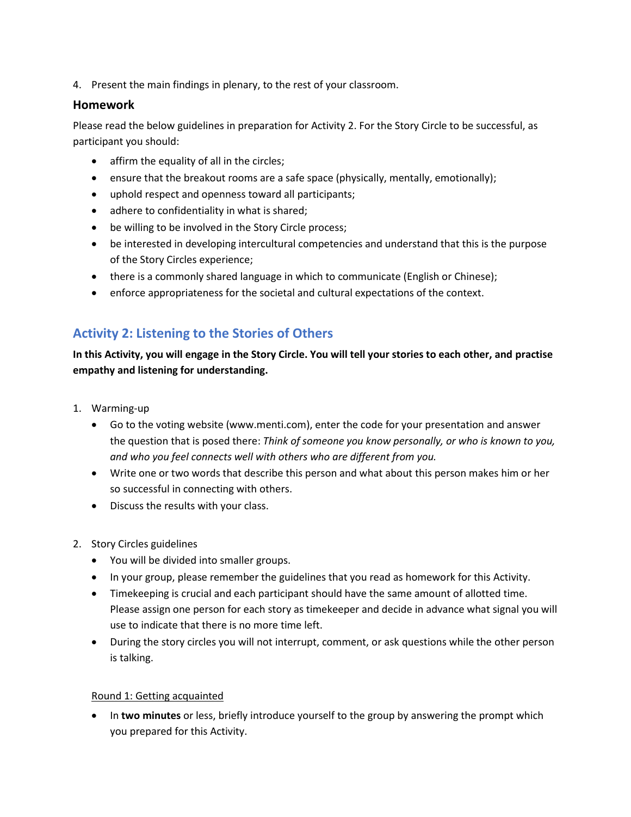4. Present the main findings in plenary, to the rest of your classroom.

#### **Homework**

Please read the below guidelines in preparation for Activity 2. For the Story Circle to be successful, as participant you should:

- affirm the equality of all in the circles;
- ensure that the breakout rooms are a safe space (physically, mentally, emotionally);
- uphold respect and openness toward all participants;
- adhere to confidentiality in what is shared;
- be willing to be involved in the Story Circle process;
- be interested in developing intercultural competencies and understand that this is the purpose of the Story Circles experience;
- there is a commonly shared language in which to communicate (English or Chinese);
- enforce appropriateness for the societal and cultural expectations of the context.

### **Activity 2: Listening to the Stories of Others**

**In this Activity, you will engage in the Story Circle. You will tell your stories to each other, and practise empathy and listening for understanding.** 

- 1. Warming-up
	- Go to the voting website (www.menti.com), enter the code for your presentation and answer the question that is posed there: *Think of someone you know personally, or who is known to you, and who you feel connects well with others who are different from you.*
	- Write one or two words that describe this person and what about this person makes him or her so successful in connecting with others.
	- Discuss the results with your class.
- 2. Story Circles guidelines
	- You will be divided into smaller groups.
	- In your group, please remember the guidelines that you read as homework for this Activity.
	- Timekeeping is crucial and each participant should have the same amount of allotted time. Please assign one person for each story as timekeeper and decide in advance what signal you will use to indicate that there is no more time left.
	- During the story circles you will not interrupt, comment, or ask questions while the other person is talking.

#### Round 1: Getting acquainted

 In **two minutes** or less, briefly introduce yourself to the group by answering the prompt which you prepared for this Activity.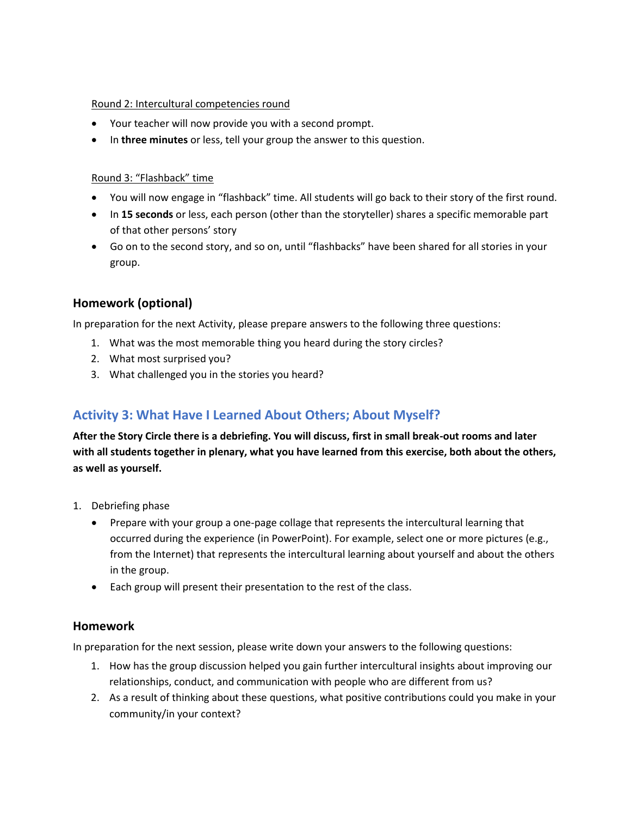#### Round 2: Intercultural competencies round

- Your teacher will now provide you with a second prompt.
- In **three minutes** or less, tell your group the answer to this question.

#### Round 3: "Flashback" time

- You will now engage in "flashback" time. All students will go back to their story of the first round.
- In **15 seconds** or less, each person (other than the storyteller) shares a specific memorable part of that other persons' story
- Go on to the second story, and so on, until "flashbacks" have been shared for all stories in your group.

#### **Homework (optional)**

In preparation for the next Activity, please prepare answers to the following three questions:

- 1. What was the most memorable thing you heard during the story circles?
- 2. What most surprised you?
- 3. What challenged you in the stories you heard?

### **Activity 3: What Have I Learned About Others; About Myself?**

**After the Story Circle there is a debriefing. You will discuss, first in small break-out rooms and later with all students together in plenary, what you have learned from this exercise, both about the others, as well as yourself.** 

- 1. Debriefing phase
	- Prepare with your group a one-page collage that represents the intercultural learning that occurred during the experience (in PowerPoint). For example, select one or more pictures (e.g., from the Internet) that represents the intercultural learning about yourself and about the others in the group.
	- Each group will present their presentation to the rest of the class.

#### **Homework**

In preparation for the next session, please write down your answers to the following questions:

- 1. How has the group discussion helped you gain further intercultural insights about improving our relationships, conduct, and communication with people who are different from us?
- 2. As a result of thinking about these questions, what positive contributions could you make in your community/in your context?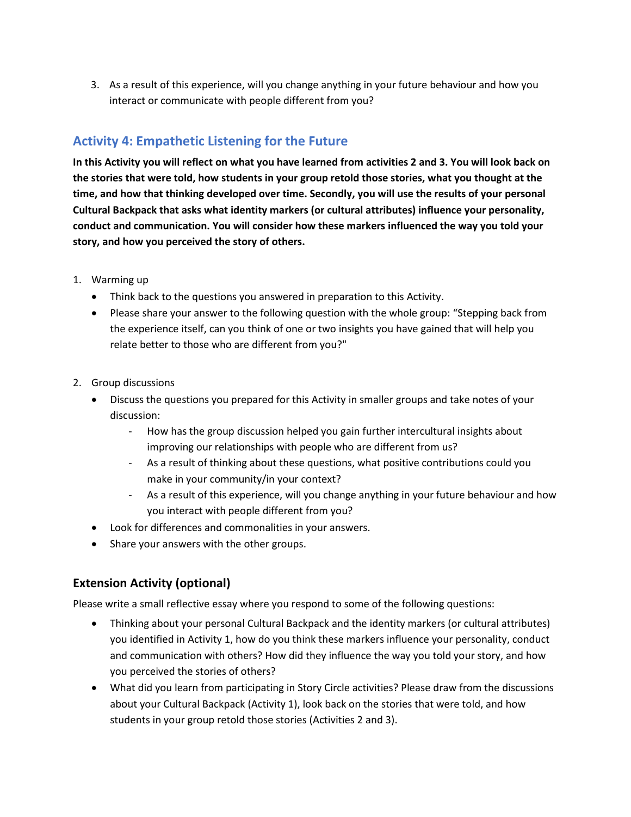3. As a result of this experience, will you change anything in your future behaviour and how you interact or communicate with people different from you?

### **Activity 4: Empathetic Listening for the Future**

**In this Activity you will reflect on what you have learned from activities 2 and 3. You will look back on the stories that were told, how students in your group retold those stories, what you thought at the time, and how that thinking developed over time. Secondly, you will use the results of your personal Cultural Backpack that asks what identity markers (or cultural attributes) influence your personality, conduct and communication. You will consider how these markers influenced the way you told your story, and how you perceived the story of others.**

- 1. Warming up
	- Think back to the questions you answered in preparation to this Activity.
	- Please share your answer to the following question with the whole group: "Stepping back from the experience itself, can you think of one or two insights you have gained that will help you relate better to those who are different from you?"
- 2. Group discussions
	- Discuss the questions you prepared for this Activity in smaller groups and take notes of your discussion:
		- How has the group discussion helped you gain further intercultural insights about improving our relationships with people who are different from us?
		- As a result of thinking about these questions, what positive contributions could you make in your community/in your context?
		- As a result of this experience, will you change anything in your future behaviour and how you interact with people different from you?
	- Look for differences and commonalities in your answers.
	- Share your answers with the other groups.

#### **Extension Activity (optional)**

Please write a small reflective essay where you respond to some of the following questions:

- Thinking about your personal Cultural Backpack and the identity markers (or cultural attributes) you identified in Activity 1, how do you think these markers influence your personality, conduct and communication with others? How did they influence the way you told your story, and how you perceived the stories of others?
- What did you learn from participating in Story Circle activities? Please draw from the discussions about your Cultural Backpack (Activity 1), look back on the stories that were told, and how students in your group retold those stories (Activities 2 and 3).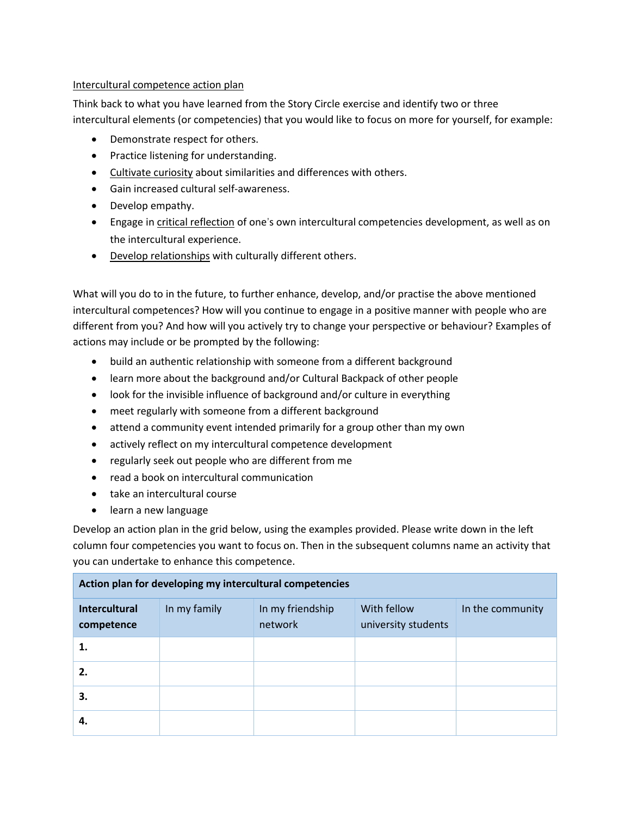#### Intercultural competence action plan

Think back to what you have learned from the Story Circle exercise and identify two or three intercultural elements (or competencies) that you would like to focus on more for yourself, for example:

- Demonstrate respect for others.
- Practice listening for understanding.
- Cultivate curiosity about similarities and differences with others.
- Gain increased cultural self-awareness.
- Develop empathy.
- Engage in critical reflection of one's own intercultural competencies development, as well as on the intercultural experience.
- Develop relationships with culturally different others.

What will you do to in the future, to further enhance, develop, and/or practise the above mentioned intercultural competences? How will you continue to engage in a positive manner with people who are different from you? And how will you actively try to change your perspective or behaviour? Examples of actions may include or be prompted by the following:

- build an authentic relationship with someone from a different background
- learn more about the background and/or Cultural Backpack of other people
- look for the invisible influence of background and/or culture in everything
- meet regularly with someone from a different background
- attend a community event intended primarily for a group other than my own
- actively reflect on my intercultural competence development
- regularly seek out people who are different from me
- read a book on intercultural communication
- take an intercultural course
- learn a new language

Develop an action plan in the grid below, using the examples provided. Please write down in the left column four competencies you want to focus on. Then in the subsequent columns name an activity that you can undertake to enhance this competence.

| Action plan for developing my intercultural competencies |              |                             |                                    |                  |  |
|----------------------------------------------------------|--------------|-----------------------------|------------------------------------|------------------|--|
| <b>Intercultural</b><br>competence                       | In my family | In my friendship<br>network | With fellow<br>university students | In the community |  |
| 1.                                                       |              |                             |                                    |                  |  |
| 2.                                                       |              |                             |                                    |                  |  |
| 3.                                                       |              |                             |                                    |                  |  |
| 4.                                                       |              |                             |                                    |                  |  |